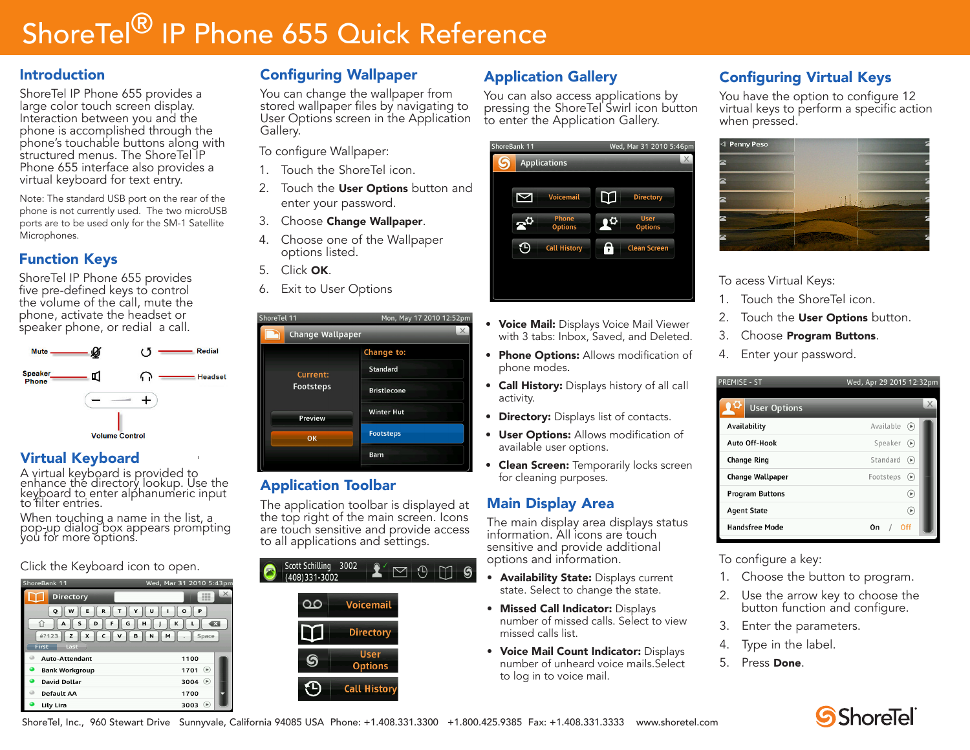# ShoreTel<sup>®</sup> IP Phone 655 Quick Reference

#### Introduction

ShoreTel IP Phone 655 provides a large color touch screen display. Interaction between you and the phone is accomplished through the phone's touchable buttons along with structured menus. The ShoreTel IP Phone 655 interface also provides a virtual keyboard for text entry.

Note: The standard USB port on the rear of the phone is not currently used. The two microUSB ports are to be used only for the SM-1 Satellite Microphones.

## Function Keys

ShoreTel IP Phone 655 provides five pre-defined keys to control the volume of the call, mute the phone, activate the headset or speaker phone, or redial a call.



## Virtual Keyboard

A virtual keyboard is provided to enhance the directory lookup. Use the keyboard to enter alphanumeric input to filter entries.

When touching a name in the list, a pop-up dialog box appears prompting you for more options.

Click the Keyboard icon to open.

| ShoreBank 11                                                                                                                                                                                   | Wed, Mar 31 2010 5:43pm       |  |
|------------------------------------------------------------------------------------------------------------------------------------------------------------------------------------------------|-------------------------------|--|
| <b>Directory</b>                                                                                                                                                                               | $\times$<br>333<br><b>HHH</b> |  |
| U<br>w<br>R<br>E<br>Y<br>P<br>Q<br>O<br>т<br>S<br>G<br>K<br>$\overline{\mathbf{x}}$<br>F<br>н<br>D<br>íì<br>А<br>é?123<br>C<br>$\mathsf{v}$<br>x<br>в<br>N<br>M<br>Space<br>z<br>First<br>Last |                               |  |
| Auto-Attendant                                                                                                                                                                                 | 1100                          |  |
| <b>Bank Workgroup</b>                                                                                                                                                                          | $\circledast$<br>1701         |  |
| <b>David Dollar</b>                                                                                                                                                                            | 3004<br>$\bigcirc$            |  |
| <b>Default AA</b>                                                                                                                                                                              | 1700                          |  |
| Lily Lira                                                                                                                                                                                      | 3003<br>$\blacktriangleright$ |  |

# Configuring Wallpaper

You can change the wallpaper from stored wallpaper files by navigating to User Options screen in the Application Gallery.

To configure Wallpaper:

- 1. Touch the ShoreTel icon.
- 2. Touch the **User Options** button and enter your password.
- 3. Choose Change Wallpaper.
- 4. Choose one of the Wallpaper options listed.
- 5. Click OK.
- 6. Exit to User Options

| ShoreTel 11                                   | Mon, May 17 2010 12:52p      |  |
|-----------------------------------------------|------------------------------|--|
|                                               | X<br><b>Change Wallpaper</b> |  |
|                                               | Change to:                   |  |
| Current:<br><b>Footsteps</b><br>Preview<br>OK | <b>Standard</b>              |  |
|                                               | <b>Bristlecone</b>           |  |
|                                               | <b>Winter Hut</b>            |  |
|                                               | <b>Footsteps</b>             |  |
|                                               | <b>Barn</b>                  |  |

#### Application Toolbar

The application toolbar is displayed at the top right of the main screen. Icons are touch sensitive and provide access to all applications and settings.

| Scott Schilling 3002<br>(408)331-3002 | $\cap$ $\cap$                 |
|---------------------------------------|-------------------------------|
|                                       | <b>Voicemail</b>              |
|                                       | <b>Directory</b>              |
|                                       | <b>User</b><br><b>Options</b> |
|                                       | <b>Call History</b>           |

# Application Gallery

You can also access applications by pressing the ShoreTel Swirl icon button to enter the Application Gallery.



- Voice Mail: Displays Voice Mail Viewer with 3 tabs: Inbox, Saved, and Deleted.
- Phone Options: Allows modification of phone modes.
- Call History: Displays history of all call activity.
- Directory: Displays list of contacts.
- User Options: Allows modification of available user options.
- **Clean Screen:** Temporarily locks screen for cleaning purposes.

# Main Display Area

The main display area displays status information. All icons are touch sensitive and provide additional options and information.

- Availability State: Displays current state. Select to change the state.
- **Missed Call Indicator: Displays** number of missed calls. Select to view missed calls list.
- Voice Mail Count Indicator: Displays number of unheard voice mails.Select to log in to voice mail.

# Configuring Virtual Keys

You have the option to configure 12 virtual keys to perform a specific action when pressed.



To acess Virtual Keys:

- 1. Touch the ShoreTel icon.
- 2. Touch the User Options button.
- 3. Choose Program Buttons.
- 4. Enter your password.

| <b>PREMISE - ST</b>    | Wed, Apr 29 2015 12:32pm        |
|------------------------|---------------------------------|
| <b>User Options</b>    | $\times$                        |
| Availability           | Available $\bigcirc$            |
| Auto Off-Hook          | Speaker<br>$\Theta$             |
| <b>Change Ring</b>     | Standard<br>$(\triangleright)$  |
| Change Wallpaper       | Footsteps<br>$(\triangleright)$ |
| <b>Program Buttons</b> | $(\mathbb{R})$                  |
| <b>Agent State</b>     | $\bigcirc$                      |
| <b>Handsfree Mode</b>  | Off<br>On                       |
|                        |                                 |

To configure a key:

- 1. Choose the button to program.
- 2. Use the arrow key to choose the button function and configure.
- 3. Enter the parameters.
- 4. Type in the label.
- 5. Press Done.